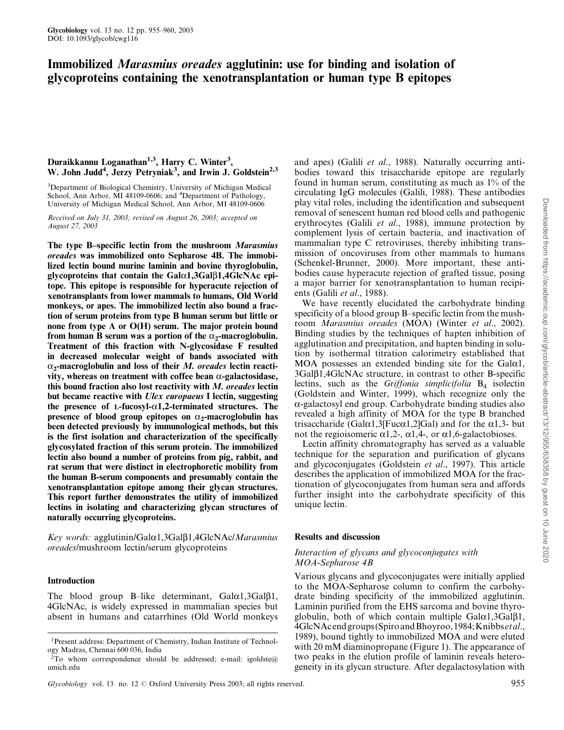# Immobilized Marasmius oreades agglutinin: use for binding and isolation of glycoproteins containing the xenotransplantation or human type B epitopes

# Duraikkannu Loganathan<sup>1,3</sup>, Harry C. Winter<sup>3</sup>, W. John Judd<sup>4</sup>, Jerzy Petryniak<sup>3</sup>, and Irwin J. Goldstein<sup>2,3</sup>

<sup>3</sup>Department of Biological Chemistry, University of Michigan Medical School, Ann Arbor, MI 48109-0606; and <sup>4</sup>Department of Pathology, University of Michigan Medical School, Ann Arbor, MI 48109-0606

Received on July 31, 2003; revised on August 26, 2003; accepted on August 27, 2003

The type B-specific lectin from the mushroom Marasmius oreades was immobilized onto Sepharose 4B. The immobilized lectin bound murine laminin and bovine thyroglobulin, glycoproteins that contain the  $Gal \alpha1, 3Gal \beta1, 4GlcNAc$  epitope. This epitope is responsible for hyperacute rejection of xenotransplants from lower mammals to humans, Old World monkeys, or apes. The immobilized lectin also bound a fraction of serum proteins from type B human serum but little or none from type A or O(H) serum. The major protein bound from human B serum was a portion of the  $\alpha_2$ -macroglobulin. Treatment of this fraction with N-glycosidase F resulted in decreased molecular weight of bands associated with  $\alpha_2$ -macroglobulin and loss of their *M. oreades* lectin reactivity, whereas on treatment with coffee bean  $\alpha$ -galactosidase, this bound fraction also lost reactivity with  $M$ . oreades lectin but became reactive with *Ulex europaeus* I lectin, suggesting the presence of L-fucosyl- $\alpha$ 1,2-terminated structures. The presence of blood group epitopes on  $\alpha_2$ -macroglobulin has been detected previously by immunological methods, but this is the first isolation and characterization of the specifically glycosylated fraction of this serum protein. The immobilized lectin also bound a number of proteins from pig, rabbit, and rat serum that were distinct in electrophoretic mobility from the human B-serum components and presumably contain the xenotransplantation epitope among their glycan structures. This report further demonstrates the utility of immobilized lectins in isolating and characterizing glycan structures of naturally occurring glycoproteins.

Key words: agglutinin/Gal $\alpha$ 1,3Gal $\beta$ 1,4GlcNAc/*Marasmius* oreades/mushroom lectin/serum glycoproteins

#### Introduction

The blood group B-like determinant,  $Gal \alpha 1, 3Gal \beta 1$ , 4GlcNAc, is widely expressed in mammalian species but absent in humans and catarrhines (Old World monkeys

and apes) (Galili et al., 1988). Naturally occurring antibodies toward this trisaccharide epitope are regularly found in human serum, constituting as much as 1% of the circulating IgG molecules (Galili, 1988). These antibodies play vital roles, including the identification and subsequent removal of senescent human red blood cells and pathogenic erythrocytes (Galili et al., 1988), immune protection by complement lysis of certain bacteria, and inactivation of mammalian type C retroviruses, thereby inhibiting transmission of oncoviruses from other mammals to humans (Schenkel-Brunner, 2000). More important, these antibodies cause hyperacute rejection of grafted tissue, posing a major barrier for xenotransplantation to human recipients (Galili *et al.*, 1988).

We have recently elucidated the carbohydrate binding specificity of a blood group B-specific lectin from the mushroom Marasmius oreades (MOA) (Winter et al., 2002). Binding studies by the techniques of hapten inhibition of agglutination and precipitation, and hapten binding in solution by isothermal titration calorimetry established that MOA possesses an extended binding site for the Gal $\alpha$ 1, 3Galb1,4GlcNAc structure, in contrast to other B-specific lectins, such as the *Griffonia simplicifolia*  $B_4$  isolectin (Goldstein and Winter, 1999), which recognize only the a-galactosyl end group. Carbohydrate binding studies also revealed a high affinity of MOA for the type B branched trisaccharide (Gal $\alpha$ 1,3[Fuc $\alpha$ 1,2]Gal) and for the  $\alpha$ 1,3- but not the regioisomeric  $\alpha$ 1,2-,  $\alpha$ 1,4-, or  $\alpha$ 1,6-galactobioses.

Lectin affinity chromatography has served as a valuable technique for the separation and purification of glycans and glycoconjugates (Goldstein et al., 1997). This article describes the application of immobilized MOA for the fractionation of glycoconjugates from human sera and affords further insight into the carbohydrate specificity of this unique lectin.

#### Results and discussion

## Interaction of glycans and glycoconjugates with MOA-Sepharose 4B

Various glycans and glycoconjugates were initially applied to the MOA-Sepharose column to confirm the carbohydrate binding specificity of the immobilized agglutinin. Laminin purified from the EHS sarcoma and bovine thyroglobulin, both of which contain multiple  $Gal \alpha1, 3Gal \beta1$ , 4GlcNAcend groups (Spiro and Bhoyroo, 1984; Knibbs et al., 1989), bound tightly to immobilized MOA and were eluted with 20 mM diaminopropane (Figure 1). The appearance of two peaks in the elution profile of laminin reveals heterogeneity in its glycan structure. After degalactosylation with

<sup>1</sup>Present address: Department of Chemistry, Indian Institute of Technology Madras, Chennai 600 036, India

<sup>&</sup>lt;sup>2</sup>To whom correspondence should be addressed; e-mail: igoldste $@$ umich.edu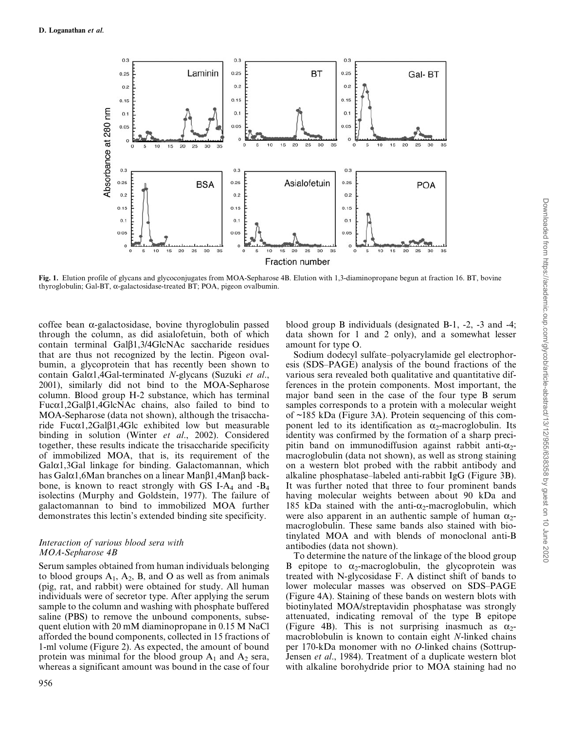

Fig. 1. Elution profile of glycans and glycoconjugates from MOA-Sepharose 4B. Elution with 1,3-diaminopropane begun at fraction 16. BT, bovine thyroglobulin; Gal-BT, a-galactosidase-treated BT; POA, pigeon ovalbumin.

coffee bean  $\alpha$ -galactosidase, bovine thyroglobulin passed through the column, as did asialofetuin, both of which contain terminal  $Ga1\beta1,3/4G$ lcNAc saccharide residues that are thus not recognized by the lectin. Pigeon ovalbumin, a glycoprotein that has recently been shown to contain Gal $\alpha$ 1,4Gal-terminated N-glycans (Suzuki et al., 2001), similarly did not bind to the MOA-Sepharose column. Blood group H-2 substance, which has terminal  $Fuc\alpha1, 2Gal\beta1, 4GlcNAc$  chains, also failed to bind to MOA-Sepharose (data not shown), although the trisaccharide Fuca1,2Gal $\beta$ 1,4Glc exhibited low but measurable binding in solution (Winter et al., 2002). Considered together, these results indicate the trisaccharide specificity of immobilized MOA, that is, its requirement of the  $Gal<sub>α1</sub>,3Gal$  linkage for binding. Galactomannan, which has Gal $\alpha$ 1,6Man branches on a linear Man $\beta$ 1,4Man $\beta$  backbone, is known to react strongly with GS I-A<sub>4</sub> and  $-B_4$ isolectins (Murphy and Goldstein, 1977). The failure of galactomannan to bind to immobilized MOA further demonstrates this lectin's extended binding site specificity.

## Interaction of various blood sera with MOA-Sepharose 4B

Serum samples obtained from human individuals belonging to blood groups  $A_1$ ,  $A_2$ , B, and O as well as from animals (pig, rat, and rabbit) were obtained for study. All human individuals were of secretor type. After applying the serum sample to the column and washing with phosphate buffered saline (PBS) to remove the unbound components, subsequent elution with 20 mM diaminopropane in 0.15 M NaCl afforded the bound components, collected in 15 fractions of 1-ml volume (Figure 2). As expected, the amount of bound protein was minimal for the blood group  $A_1$  and  $A_2$  sera, whereas a significant amount was bound in the case of four blood group B individuals (designated B-1, -2, -3 and -4; data shown for 1 and 2 only), and a somewhat lesser amount for type O.

Sodium dodecyl sulfate-polyacrylamide gel electrophoresis (SDS-PAGE) analysis of the bound fractions of the various sera revealed both qualitative and quantitative differences in the protein components. Most important, the major band seen in the case of the four type B serum samples corresponds to a protein with a molecular weight of ~185 kDa (Figure 3A). Protein sequencing of this component led to its identification as  $\alpha_2$ -macroglobulin. Its identity was confirmed by the formation of a sharp precipitin band on immunodiffusion against rabbit anti- $\alpha$ <sub>2</sub>macroglobulin (data not shown), as well as strong staining on a western blot probed with the rabbit antibody and alkaline phosphatase-labeled anti-rabbit IgG (Figure 3B). It was further noted that three to four prominent bands having molecular weights between about 90 kDa and 185 kDa stained with the anti- $\alpha_2$ -macroglobulin, which were also apparent in an authentic sample of human  $\alpha_2$ macroglobulin. These same bands also stained with biotinylated MOA and with blends of monoclonal anti-B antibodies (data not shown).

To determine the nature of the linkage of the blood group B epitope to  $\alpha_2$ -macroglobulin, the glycoprotein was treated with N-glycosidase F. A distinct shift of bands to lower molecular masses was observed on SDS-PAGE (Figure 4A). Staining of these bands on western blots with biotinylated MOA/streptavidin phosphatase was strongly attenuated, indicating removal of the type B epitope (Figure 4B). This is not surprising inasmuch as  $\alpha_2$ macroblobulin is known to contain eight N-linked chains per 170-kDa monomer with no O-linked chains (Sottrup-Jensen et al., 1984). Treatment of a duplicate western blot with alkaline borohydride prior to MOA staining had no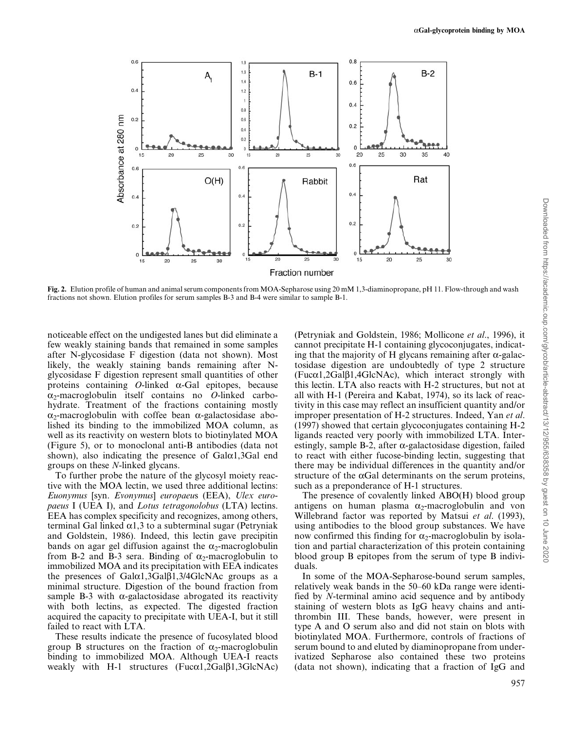

Fig. 2. Elution profile of human and animal serum components from MOA-Sepharose using 20 mM 1,3-diaminopropane, pH 11. Flow-through and wash fractions not shown. Elution profiles for serum samples B-3 and B-4 were similar to sample B-1.

noticeable effect on the undigested lanes but did eliminate a few weakly staining bands that remained in some samples after N-glycosidase F digestion (data not shown). Most likely, the weakly staining bands remaining after Nglycosidase F digestion represent small quantities of other proteins containing  $O$ -linked  $\alpha$ -Gal epitopes, because  $\alpha_2$ -macroglobulin itself contains no O-linked carbohydrate. Treatment of the fractions containing mostly  $\alpha_2$ -macroglobulin with coffee bean  $\alpha$ -galactosidase abolished its binding to the immobilized MOA column, as well as its reactivity on western blots to biotinylated MOA (Figure 5), or to monoclonal anti-B antibodies (data not shown), also indicating the presence of  $Gal<sub>α1</sub>,3Gal$  end groups on these N-linked glycans.

To further probe the nature of the glycosyl moiety reactive with the MOA lectin, we used three additional lectins: Euonymus [syn. Evonymus] europaeus (EEA), Ulex europaeus I (UEA I), and Lotus tetragonolobus (LTA) lectins. EEA has complex specificity and recognizes, among others, terminal Gal linked  $\alpha$ 1,3 to a subterminal sugar (Petryniak and Goldstein, 1986). Indeed, this lectin gave precipitin bands on agar gel diffusion against the  $\alpha_2$ -macroglobulin from B-2 and B-3 sera. Binding of  $\alpha_2$ -macroglobulin to immobilized MOA and its precipitation with EEA indicates the presences of  $Gal \alpha1, 3Gal \beta1, 3/4G l c N A c$  groups as a minimal structure. Digestion of the bound fraction from sample B-3 with  $\alpha$ -galactosidase abrogated its reactivity with both lectins, as expected. The digested fraction acquired the capacity to precipitate with UEA-I, but it still failed to react with LTA.

These results indicate the presence of fucosylated blood group B structures on the fraction of  $\alpha_2$ -macroglobulin binding to immobilized MOA. Although UEA-I reacts weakly with H-1 structures ( $Fuc\alpha1, 2Ga1\beta1, 3GlcNAc$ )

(Petryniak and Goldstein, 1986; Mollicone et al., 1996), it cannot precipitate H-1 containing glycoconjugates, indicating that the majority of H glycans remaining after  $\alpha$ -galactosidase digestion are undoubtedly of type 2 structure  $(Fuc\alpha1, 2Ga1\beta1, 4GlcNAc)$ , which interact strongly with this lectin. LTA also reacts with H-2 structures, but not at all with H-1 (Pereira and Kabat, 1974), so its lack of reactivity in this case may reflect an insufficient quantity and/or improper presentation of H-2 structures. Indeed, Yan et al. (1997) showed that certain glycoconjugates containing H-2 ligands reacted very poorly with immobilized LTA. Interestingly, sample B-2, after  $\alpha$ -galactosidase digestion, failed to react with either fucose-binding lectin, suggesting that there may be individual differences in the quantity and/or structure of the  $\alpha$ Gal determinants on the serum proteins, such as a preponderance of H-1 structures.

The presence of covalently linked ABO(H) blood group antigens on human plasma  $\alpha_2$ -macroglobulin and von Willebrand factor was reported by Matsui et al. (1993), using antibodies to the blood group substances. We have now confirmed this finding for  $\alpha_2$ -macroglobulin by isolation and partial characterization of this protein containing blood group B epitopes from the serum of type B individuals.

In some of the MOA-Sepharose-bound serum samples, relatively weak bands in the 50–60 kDa range were identified by N-terminal amino acid sequence and by antibody staining of western blots as IgG heavy chains and antithrombin III. These bands, however, were present in type A and O serum also and did not stain on blots with biotinylated MOA. Furthermore, controls of fractions of serum bound to and eluted by diaminopropane from underivatized Sepharose also contained these two proteins (data not shown), indicating that a fraction of IgG and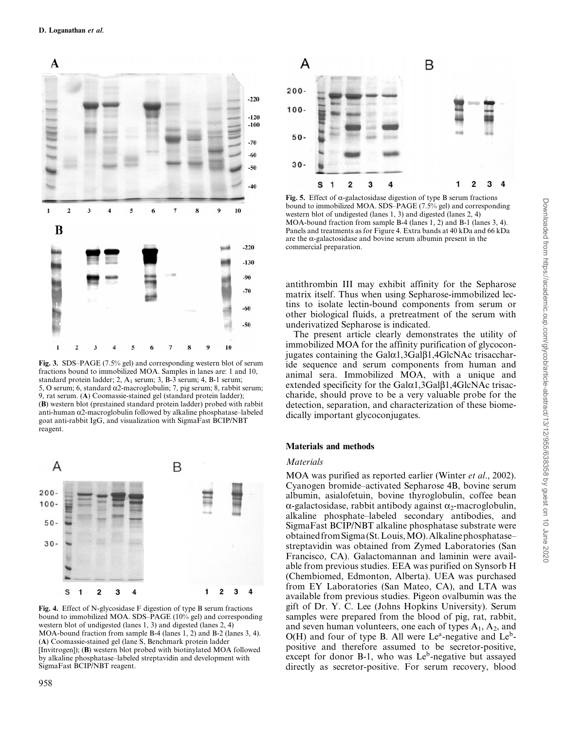

Fig. 3. SDS-PAGE (7.5% gel) and corresponding western blot of serum fractions bound to immobilized MOA. Samples in lanes are: 1 and 10, standard protein ladder; 2,  $A_1$  serum; 3, B-3 serum; 4, B-1 serum; 5, O serum; 6, standard  $\alpha$ 2-macroglobulin; 7, pig serum; 8, rabbit serum; 9, rat serum. (A) Coomassie-stained gel (standard protein ladder); (B) western blot (prestained standard protein ladder) probed with rabbit anti-human  $\alpha$ 2-macroglobulin followed by alkaline phosphatase-labeled goat anti-rabbit IgG, and visualization with SigmaFast BCIP/NBT reagent.



Fig. 4. Effect of N-glycosidase F digestion of type B serum fractions bound to immobilized MOA. SDS-PAGE (10% gel) and corresponding western blot of undigested (lanes 1, 3) and digested (lanes 2, 4) MOA-bound fraction from sample B-4 (lanes 1, 2) and B-2 (lanes 3, 4). (A) Coomassie-stained gel (lane S, Benchmark protein ladder [Invitrogen]); (B) western blot probed with biotinylated MOA followed by alkaline phosphatase-labeled streptavidin and development with SigmaFast BCIP/NBT reagent.



Fig. 5. Effect of  $\alpha$ -galactosidase digestion of type B serum fractions bound to immobilized MOA. SDS-PAGE (7.5% gel) and corresponding western blot of undigested (lanes 1, 3) and digested (lanes 2, 4) MOA-bound fraction from sample B-4 (lanes 1, 2) and B-1 (lanes 3, 4). Panels and treatments as for Figure 4. Extra bands at 40 kDa and 66 kDa are the  $\alpha$ -galactosidase and bovine serum albumin present in the commercial preparation.

antithrombin III may exhibit affinity for the Sepharose matrix itself. Thus when using Sepharose-immobilized lectins to isolate lectin-bound components from serum or other biological fluids, a pretreatment of the serum with underivatized Sepharose is indicated.

The present article clearly demonstrates the utility of immobilized MOA for the affinity purification of glycoconjugates containing the  $Gal \alpha1, 3Gal \beta1, 4GlcNAc$  trisaccharide sequence and serum components from human and animal sera. Immobilized MOA, with a unique and extended specificity for the  $Gal<sub>α1</sub>,3Gal<sub>β1</sub>,4GlcNAc trisac$ charide, should prove to be a very valuable probe for the detection, separation, and characterization of these biomedically important glycoconjugates.

#### Materials and methods

#### **Materials**

MOA was purified as reported earlier (Winter et al., 2002). Cyanogen bromide-activated Sepharose 4B, bovine serum albumin, asialofetuin, bovine thyroglobulin, coffee bean  $\alpha$ -galactosidase, rabbit antibody against  $\alpha_2$ -macroglobulin, alkaline phosphate-labeled secondary antibodies, and SigmaFast BCIP/NBT alkaline phosphatase substrate were obtained fromSigma (St.Louis,MO).Alkalinephosphatase± streptavidin was obtained from Zymed Laboratories (San Francisco, CA). Galactomannan and laminin were available from previous studies. EEA was purified on Synsorb H (Chembiomed, Edmonton, Alberta). UEA was purchased from EY Laboratories (San Mateo, CA), and LTA was available from previous studies. Pigeon ovalbumin was the gift of Dr. Y. C. Lee (Johns Hopkins University). Serum samples were prepared from the blood of pig, rat, rabbit, and seven human volunteers, one each of types  $A_1$ ,  $A_2$ , and  $O(H)$  and four of type B. All were Le<sup>a</sup>-negative and Le<sup>b</sup>positive and therefore assumed to be secretor-positive, except for donor B-1, who was Le<sup>b</sup>-negative but assayed directly as secretor-positive. For serum recovery, blood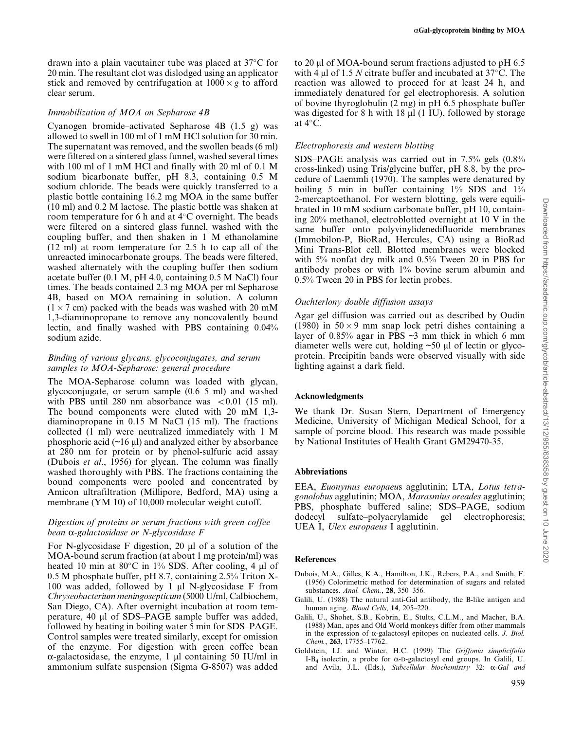drawn into a plain vacutainer tube was placed at  $37^{\circ}$ C for 20 min. The resultant clot was dislodged using an applicator stick and removed by centrifugation at  $1000 \times g$  to afford clear serum.

## Immobilization of MOA on Sepharose 4B

Cyanogen bromide-activated Sepharose  $4B$  (1.5 g) was allowed to swell in 100 ml of 1 mM HCl solution for 30 min. The supernatant was removed, and the swollen beads (6 ml) were filtered on a sintered glass funnel, washed several times with 100 ml of 1 mM HCl and finally with 20 ml of 0.1 M sodium bicarbonate buffer, pH 8.3, containing 0.5 M sodium chloride. The beads were quickly transferred to a plastic bottle containing 16.2 mg MOA in the same buffer (10 ml) and 0.2 M lactose. The plastic bottle was shaken at room temperature for 6 h and at  $4^{\circ}$ C overnight. The beads were filtered on a sintered glass funnel, washed with the coupling buffer, and then shaken in 1 M ethanolamine (12 ml) at room temperature for 2.5 h to cap all of the unreacted iminocarbonate groups. The beads were filtered, washed alternately with the coupling buffer then sodium acetate buffer (0.1 M, pH 4.0, containing 0.5 M NaCl) four times. The beads contained 2.3 mg MOA per ml Sepharose 4B, based on MOA remaining in solution. A column  $(1 \times 7 \text{ cm})$  packed with the beads was washed with 20 mM 1,3-diaminopropane to remove any noncovalently bound lectin, and finally washed with PBS containing 0.04% sodium azide.

# Binding of various glycans, glycoconjugates, and serum samples to MOA-Sepharose: general procedure

The MOA-Sepharose column was loaded with glycan, glycoconjugate, or serum sample  $(0.6-5 \text{ ml})$  and washed with PBS until 280 nm absorbance was  $< 0.01$  (15 ml). The bound components were eluted with 20 mM 1,3 diaminopropane in 0.15 M NaCl (15 ml). The fractions collected (1 ml) were neutralized immediately with 1 M phosphoric acid  $(\sim]16 \mu$ ) and analyzed either by absorbance at 280 nm for protein or by phenol-sulfuric acid assay (Dubois et al., 1956) for glycan. The column was finally washed thoroughly with PBS. The fractions containing the bound components were pooled and concentrated by Amicon ultrafiltration (Millipore, Bedford, MA) using a membrane (YM 10) of 10,000 molecular weight cutoff.

## Digestion of proteins or serum fractions with green coffee bean  $\alpha$ -galactosidase or N-glycosidase F

For N-glycosidase F digestion, 20  $\mu$ l of a solution of the MOA-bound serum fraction (at about 1 mg protein/ml) was heated 10 min at 80 $\degree$ C in 1% SDS. After cooling, 4 µl of 0.5 M phosphate buffer, pH 8.7, containing 2.5% Triton X-100 was added, followed by 1  $\mu$ l N-glycosidase F from Chryseobacterium meningosepticum (5000 U/ml, Calbiochem, San Diego, CA). After overnight incubation at room temperature, 40 µl of SDS-PAGE sample buffer was added, followed by heating in boiling water 5 min for SDS-PAGE. Control samples were treated similarly, except for omission of the enzyme. For digestion with green coffee bean  $\alpha$ -galactosidase, the enzyme, 1 µl containing 50 IU/ml in ammonium sulfate suspension (Sigma G-8507) was added

to 20  $\mu$ l of MOA-bound serum fractions adjusted to pH 6.5 with 4  $\mu$ l of 1.5 *N* citrate buffer and incubated at 37°C. The reaction was allowed to proceed for at least 24 h, and immediately denatured for gel electrophoresis. A solution of bovine thyroglobulin (2 mg) in pH 6.5 phosphate buffer was digested for 8 h with 18  $\mu$ l (1 IU), followed by storage at  $4^{\circ}$ C.

# Electrophoresis and western blotting

SDS-PAGE analysis was carried out in  $7.5\%$  gels  $(0.8\%$ cross-linked) using Tris/glycine buffer, pH 8.8, by the procedure of Laemmli (1970). The samples were denatured by boiling 5 min in buffer containing 1% SDS and 1% 2-mercaptoethanol. For western blotting, gels were equilibrated in 10 mM sodium carbonate buffer, pH 10, containing 20% methanol, electroblotted overnight at 10 V in the same buffer onto polyvinylidenedifluoride membranes (Immobilon-P, BioRad, Hercules, CA) using a BioRad Mini Trans-Blot cell. Blotted membranes were blocked with 5% nonfat dry milk and 0.5% Tween 20 in PBS for antibody probes or with 1% bovine serum albumin and 0.5% Tween 20 in PBS for lectin probes.

# Ouchterlony double diffusion assays

Agar gel diffusion was carried out as described by Oudin (1980) in  $50 \times 9$  mm snap lock petri dishes containing a layer of  $0.85\%$  agar in PBS  $\sim$ 3 mm thick in which 6 mm diameter wells were cut, holding  $~50 \mu$ l of lectin or glycoprotein. Precipitin bands were observed visually with side lighting against a dark field.

# Acknowledgments

We thank Dr. Susan Stern, Department of Emergency Medicine, University of Michigan Medical School, for a sample of porcine blood. This research was made possible by National Institutes of Health Grant GM29470-35.

## Abbreviations

EEA, Euonymus europaeus agglutinin; LTA, Lotus tetragonolobus agglutinin; MOA, Marasmius oreades agglutinin; PBS, phosphate buffered saline; SDS-PAGE, sodium dodecyl sulfate-polyacrylamide gel electrophoresis; UEA I, *Ulex europaeus* I agglutinin.

## References

- Dubois, M.A., Gilles, K.A., Hamilton, J.K., Rebers, P.A., and Smith, F. (1956) Colorimetric method for determination of sugars and related substances. Anal. Chem., 28, 350-356.
- Galili, U. (1988) The natural anti-Gal antibody, the B-like antigen and human aging. Blood Cells, 14, 205-220.
- Galili, U., Shohet, S.B., Kobrin, E., Stults, C.L.M., and Macher, B.A. (1988) Man, apes and Old World monkeys differ from other mammals in the expression of  $\alpha$ -galactosyl epitopes on nucleated cells. *J. Biol.* Chem., 263, 17755-17762.
- Goldstein, I.J. and Winter, H.C. (1999) The Griffonia simplicifolia I-B<sub>4</sub> isolectin, a probe for  $\alpha$ -D-galactosyl end groups. In Galili, U. and Avila, J.L. (Eds.), Subcellular biochemistry 32:  $\alpha$ -Gal and